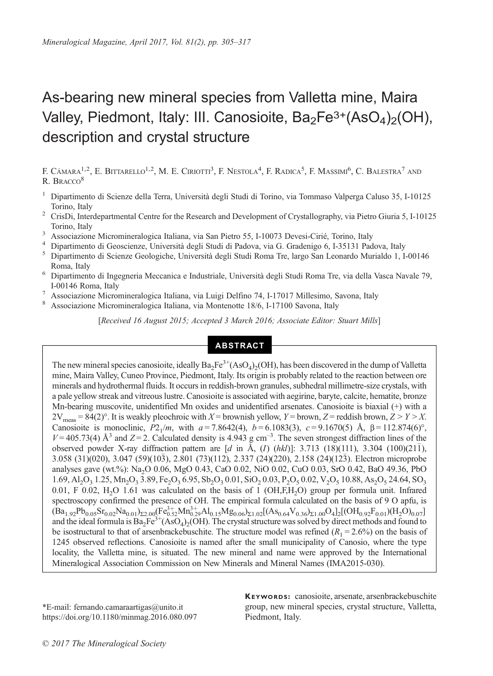# As-bearing new mineral species from Valletta mine, Maira Valley, Piedmont, Italy: III. Canosioite,  $Ba_2Fe^{3+}(AsO_4)_2(OH)$ , description and crystal structure

F. CÁMARA<sup>1,2</sup>, E. Bittarello<sup>1,2</sup>, M. E. Ciriotti<sup>3</sup>, F. Nestola<sup>4</sup>, F. Radica<sup>5</sup>, F. Massimi<sup>6</sup>, C. Balestra<sup>7</sup> and R. BRACCO<sup>8</sup>

- <sup>1</sup> Dipartimento di Scienze della Terra, Università degli Studi di Torino, via Tommaso Valperga Caluso 35, I-10125
- Torino, Italy <sup>2</sup> CrisDi, Interdepartmental Centre for the Research and Development of Crystallography, via Pietro Giuria 5, I-10125
- 
- 
- Torino, Italy<br>
<sup>3</sup> Associazione Micromineralogica Italiana, via San Pietro 55, I-10073 Devesi-Cirié, Torino, Italy<br>
<sup>4</sup> Dipartimento di Geoscienze, Università degli Studi di Padova, via G. Gradenigo 6, I-35131 Padova, Ital Roma, Italy <sup>6</sup> Dipartimento di Ingegneria Meccanica e Industriale, Università degli Studi Roma Tre, via della Vasca Navale 79,
- 
- I-00146 Roma, Italy I-00146 Roma, Italy 1-00146 Roma, Italy 7<br>
<sup>7</sup> Associazione Micromineralogica Italiana, via Luigi Delfino 74, I-17017 Millesimo, Savona, Italy <sup>8</sup> Associazione Micromineralogica Italiana, via Montenotte
- 

[Received 16 August 2015; Accepted 3 March 2016; Associate Editor: Stuart Mills]

# ABSTRACT

The new mineral species canosioite, ideally  $Ba_2Fe^{3+}(AsO_4)_2(OH)$ , has been discovered in the dump of Valletta mine, Maira Valley, Cuneo Province, Piedmont, Italy. Its origin is probably related to the reaction between ore minerals and hydrothermal fluids. It occurs in reddish-brown granules, subhedral millimetre-size crystals, with a pale yellow streak and vitreous lustre. Canosioite is associated with aegirine, baryte, calcite, hematite, bronze Mn-bearing muscovite, unidentified Mn oxides and unidentified arsenates. Canosioite is biaxial (+) with a  $2V_{\text{meas}} = 84(2)^\circ$ . It is weakly pleochroic with  $X =$  brownish yellow,  $Y =$  brown,  $Z =$  reddish brown,  $Z > Y > X$ . Canosioite is monoclinic,  $P2_1/m$ , with  $a = 7.8642(4)$ ,  $b = 6.1083(3)$ ,  $c = 9.1670(5)$  Å,  $\beta = 112.874(6)$ °,  $V = 405.73(4)$  Å<sup>3</sup> and  $Z = 2$ . Calculated density is 4.943 g cm<sup>-3</sup>. The seven strongest diffraction lines of the observed powder X-ray diffraction pattern are  $[d \text{ in } A, (I) (hkl)]$ : 3.713 (18)(111), 3.304 (100)(211), 3.058 (31)(020), 3.047 (59)(103), 2.801 (73)(112), 2.337 (24)(220), 2.158 (24)(123). Electron microprobe analyses gave (wt.%): Na2O 0.06, MgO 0.43, CaO 0.02, NiO 0.02, CuO 0.03, SrO 0.42, BaO 49.36, PbO  $1.69, A1, O<sub>3</sub>$  1.25, Mn<sub>2</sub>O<sub>3</sub> 3.89, Fe<sub>2</sub>O<sub>3</sub> 6.95, Sb<sub>2</sub>O<sub>3</sub> 0.01, SiO<sub>2</sub> 0.03, P<sub>2</sub>O<sub>5</sub> 0.02, V<sub>2</sub>O<sub>5</sub> 10.88, As<sub>2</sub>O<sub>5</sub> 24.64, SO<sub>3</sub> 0.01, F 0.02, H<sub>2</sub>O 1.61 was calculated on the basis of 1 (OH,F,H<sub>2</sub>O) group per formula unit. Infrared spectroscopy confirmed the presence of OH. The empirical formula calculated on the basis of 9 O apfu, is  $(Ba_{1.92}Pb_{0.05}Sr_{0.02}Na_{0.01})_{\Sigma2.00}$   $[Fe^{3+}_{0.52}Mn_{0.29}^{3+}Al_{0.15}Mg_{0.06}$   $]_{\Sigma1.02}$   $[(As_{0.64}V_{0.36}$   $]_{\Sigma1.00}$   $O_4$   $]_2$   $[(OH_{0.92}F_{0.01})(H_2O)_{0.07}]$ and the ideal formula is  $Ba_2Fe^{3+}(AsO_4)_2(OH)$ . The crystal structure was solved by direct methods and found to be isostructural to that of arsenbrackebuschite. The structure model was refined  $(R_1 = 2.6\%)$  on the basis of 1245 observed reflections. Canosioite is named after the small municipality of Canosio, where the type locality, the Valletta mine, is situated. The new mineral and name were approved by the International Mineralogical Association Commission on New Minerals and Mineral Names (IMA2015-030).

\*E-mail: [fernando.camaraartigas@unito.it](mailto:fernando.camaraartigas@unito.it) https://doi.org/10.1180/minmag.2016.080.097 KEYWORDS: canosioite, arsenate, arsenbrackebuschite group, new mineral species, crystal structure, Valletta, Piedmont, Italy.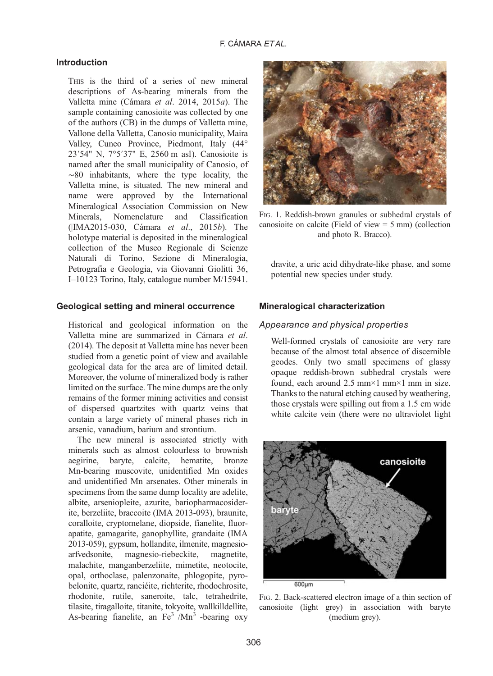### F. CÁMARA ET AL.

#### <span id="page-1-0"></span>Introduction

THIS is the third of a series of new mineral descriptions of As-bearing minerals from the Valletta mine [\(Cámara](#page-11-0) et al. 2014, [2015](#page-11-0)a). The sample containing canosioite was collected by one of the authors (CB) in the dumps of Valletta mine, Vallone della Valletta, Canosio municipality, Maira Valley, Cuneo Province, Piedmont, Italy (44° 23′54" N, 7°5′37" E, 2560 m asl). Canosioite is named after the small municipality of Canosio, of ∼80 inhabitants, where the type locality, the Valletta mine, is situated. The new mineral and name were approved by the International Mineralogical Association Commission on New Minerals, Nomenclature and Classification (|IMA2015-030, Cámara et al., 2015b). The holotype material is deposited in the mineralogical collection of the Museo Regionale di Scienze Naturali di Torino, Sezione di Mineralogia, Petrografia e Geologia, via Giovanni Giolitti 36, I–10123 Torino, Italy, catalogue number M/15941.

#### Geological setting and mineral occurrence

Historical and geological information on the Valletta mine are summarized in [Cámara](#page-11-0) et al. [\(2014\)](#page-11-0). The deposit at Valletta mine has never been studied from a genetic point of view and available geological data for the area are of limited detail. Moreover, the volume of mineralized body is rather limited on the surface. The mine dumps are the only remains of the former mining activities and consist of dispersed quartzites with quartz veins that contain a large variety of mineral phases rich in arsenic, vanadium, barium and strontium.

The new mineral is associated strictly with minerals such as almost colourless to brownish aegirine, baryte, calcite, hematite, bronze Mn-bearing muscovite, unidentified Mn oxides and unidentified Mn arsenates. Other minerals in specimens from the same dump locality are adelite, albite, arseniopleite, azurite, bariopharmacosiderite, berzeliite, braccoite (IMA 2013-093), braunite, coralloite, cryptomelane, diopside, fianelite, fluorapatite, gamagarite, ganophyllite, grandaite (IMA 2013-059), gypsum, hollandite, ilmenite, magnesioarfvedsonite, magnesio-riebeckite, magnetite, malachite, manganberzeliite, mimetite, neotocite, opal, orthoclase, palenzonaite, phlogopite, pyrobelonite, quartz, ranciéite, richterite, rhodochrosite, rhodonite, rutile, saneroite, talc, tetrahedrite, tilasite, tiragalloite, titanite, tokyoite, wallkilldellite, As-bearing fianelite, an  $Fe^{3+}/Mn^{3+}$ -bearing oxy



FIG. 1. Reddish-brown granules or subhedral crystals of canosioite on calcite (Field of view  $= 5$  mm) (collection and photo R. Bracco).

dravite, a uric acid dihydrate-like phase, and some potential new species under study.

#### Mineralogical characterization

#### Appearance and physical properties

Well-formed crystals of canosioite are very rare because of the almost total absence of discernible geodes. Only two small specimens of glassy opaque reddish-brown subhedral crystals were found, each around 2.5 mm×1 mm×1 mm in size. Thanks to the natural etching caused by weathering, those crystals were spilling out from a 1.5 cm wide white calcite vein (there were no ultraviolet light



FIG. 2. Back-scattered electron image of a thin section of canosioite (light grey) in association with baryte (medium grey).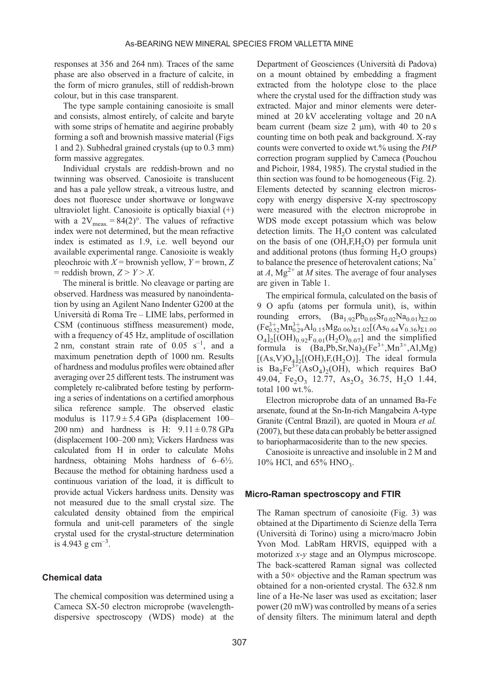responses at 356 and 264 nm). Traces of the same phase are also observed in a fracture of calcite, in the form of micro granules, still of reddish-brown colour, but in this case transparent.

The type sample containing canosioite is small and consists, almost entirely, of calcite and baryte with some strips of hematite and aegirine probably forming a soft and brownish massive material ([Figs](#page-1-0) [1](#page-1-0) and [2](#page-1-0)). Subhedral grained crystals (up to 0.3 mm) form massive aggregates.

Individual crystals are reddish-brown and no twinning was observed. Canosioite is translucent and has a pale yellow streak, a vitreous lustre, and does not fluoresce under shortwave or longwave ultraviolet light. Canosioite is optically biaxial (+) with a  $2V_{\text{meas}} = 84(2)^\circ$ . The values of refractive index were not determined, but the mean refractive index is estimated as 1.9, i.e. well beyond our available experimental range. Canosioite is weakly pleochroic with  $X =$  brownish yellow,  $Y =$  brown, Z  $=$  reddish brown,  $Z > Y > X$ .

The mineral is brittle. No cleavage or parting are observed. Hardness was measured by nanoindentation by using an Agilent Nano Indenter G200 at the Università di Roma Tre – LIME labs, performed in CSM (continuous stiffness measurement) mode, with a frequency of 45 Hz, amplitude of oscillation 2 nm, constant strain rate of  $0.05 \text{ s}^{-1}$ , and a maximum penetration depth of 1000 nm. Results of hardness and modulus profiles were obtained after averaging over 25 different tests. The instrument was completely re-calibrated before testing by performing a series of indentations on a certified amorphous silica reference sample. The observed elastic modulus is  $117.9 \pm 5.4$  GPa (displacement 100– 200 nm) and hardness is H:  $9.11 \pm 0.78$  GPa (displacement 100–200 nm); Vickers Hardness was calculated from H in order to calculate Mohs hardness, obtaining Mohs hardness of  $6-6\frac{1}{2}$ . Because the method for obtaining hardness used a continuous variation of the load, it is difficult to provide actual Vickers hardness units. Density was not measured due to the small crystal size. The calculated density obtained from the empirical formula and unit-cell parameters of the single crystal used for the crystal-structure determination is 4.943 g  $cm^{-3}$ .

## Chemical data

The chemical composition was determined using a Cameca SX-50 electron microprobe (wavelengthdispersive spectroscopy (WDS) mode) at the

Department of Geosciences (Università di Padova) on a mount obtained by embedding a fragment extracted from the holotype close to the place where the crystal used for the diffraction study was extracted. Major and minor elements were determined at 20 kV accelerating voltage and 20 nA beam current (beam size 2 μm), with 40 to 20 s counting time on both peak and background. X-ray counts were converted to oxide wt.% using the PAP correction program supplied by Cameca [\(Pouchou](#page-12-0) [and Pichoir, 1984](#page-12-0), 1985). The crystal studied in the thin section was found to be homogeneous ([Fig. 2](#page-1-0)). Elements detected by scanning electron microscopy with energy dispersive X-ray spectroscopy were measured with the electron microprobe in WDS mode except potassium which was below detection limits. The  $H<sub>2</sub>O$  content was calculated on the basis of one (OH,F,H2O) per formula unit and additional protons (thus forming  $H_2O$  groups) to balance the presence of heterovalent cations;  $Na<sup>+</sup>$ at A,  $Mg^{2+}$  at M sites. The average of four analyses are given in [Table 1.](#page-3-0)

The empirical formula, calculated on the basis of 9 O apfu (atoms per formula unit), is, within rounding errors,  $(Ba_{1.92}Pb_{0.05}Sr_{0.02}Na_{0.01})_{\Sigma2.00}$  $(\text{Fe}_{0.52}^{3+}\text{Mn}_{0.29}^{3+}\text{Al}_{0.15}\text{Mg}_{0.06})_{\Sigma1.02}[(\text{As}_{0.64}\text{V}_{0.36})_{\Sigma1.00}]$  $O_4$ <sub>12</sub>[(OH)<sub>0.92</sub>F<sub>0.01</sub>(H<sub>2</sub>O)<sub>0.07</sub>] and the simplified formula is  $(Ba, Pb, Sr, Na)<sub>2</sub>(Fe<sup>3+</sup>, Mn<sup>3+</sup>, Al, Mg)$  $[(As, V)O<sub>4</sub>]<sub>2</sub>[(OH), F<sub>1</sub>(H<sub>2</sub>O)].$  The ideal formula is  $Ba_2Fe^{3+}(AsO_4)_2(OH)$ , which requires BaO 49.04, Fe<sub>2</sub>O<sub>3</sub> 12.77, As<sub>2</sub>O<sub>5</sub> 36.75, H<sub>2</sub>O 1.44, total 100 wt.%.

Electron microprobe data of an unnamed Ba-Fe arsenate, found at the Sn-In-rich Mangabeira A-type Granite (Central Brazil), are quoted in [Moura](#page-12-0) et al. [\(2007\),](#page-12-0) but these data can probably be better assigned to bariopharmacosiderite than to the new species.

Canosioite is unreactive and insoluble in 2 M and 10% HCl, and  $65\%$  HNO<sub>3</sub>.

#### Micro-Raman spectroscopy and FTIR

The Raman spectrum of canosioite [\(Fig. 3\)](#page-3-0) was obtained at the Dipartimento di Scienze della Terra (Università di Torino) using a micro/macro Jobin Yvon Mod. LabRam HRVIS, equipped with a motorized x-y stage and an Olympus microscope. The back-scattered Raman signal was collected with a  $50\times$  objective and the Raman spectrum was obtained for a non-oriented crystal. The 632.8 nm line of a He-Ne laser was used as excitation; laser power (20 mW) was controlled by means of a series of density filters. The minimum lateral and depth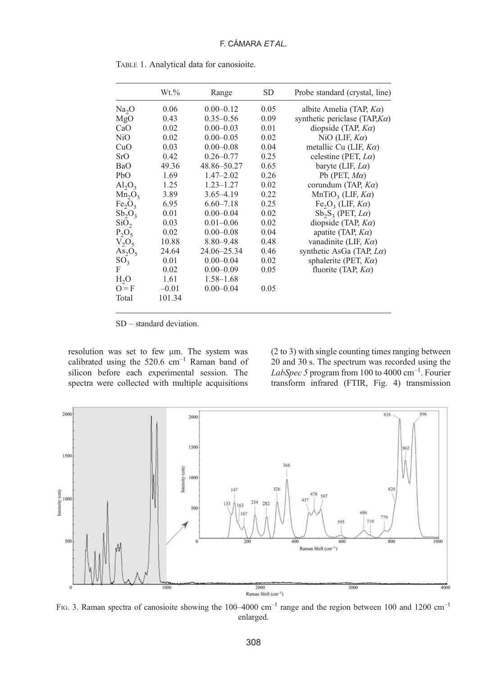|                   | $Wt.\%$ | Range         | SD   | Probe standard (crystal, line)                   |
|-------------------|---------|---------------|------|--------------------------------------------------|
| Na <sub>2</sub> O | 0.06    | $0.00 - 0.12$ | 0.05 | albite Amelia (TAP, $K\alpha$ )                  |
| MgO               | 0.43    | $0.35 - 0.56$ | 0.09 | synthetic periclase (TAP, $K\alpha$ )            |
| CaO               | 0.02    | $0.00 - 0.03$ | 0.01 | diopside (TAP, $K\alpha$ )                       |
| N <sub>i</sub> O  | 0.02    | $0.00 - 0.05$ | 0.02 | NiO (LIF, $K\alpha$ )                            |
| CuO               | 0.03    | $0.00 - 0.08$ | 0.04 | metallic Cu (LIF, $K\alpha$ )                    |
| SrO               | 0.42    | $0.26 - 0.77$ | 0.25 | celestine (PET, $L\alpha$ )                      |
| BaO               | 49.36   | 48.86 - 50.27 | 0.65 | baryte (LIF, $L\alpha$ )                         |
| PbO               | 1.69    | $1.47 - 2.02$ | 0.26 | Pb (PET, $M\alpha$ )                             |
| $Al_2O_3$         | 1.25    | $1.23 - 1.27$ | 0.02 | corundum (TAP, $K\alpha$ )                       |
| $Mn_2O_3$         | 3.89    | $3.65 - 4.19$ | 0.22 | MnTiO <sub>3</sub> (LIF, $K\alpha$ )             |
| $Fe_2O_3$         | 6.95    | $6.60 - 7.18$ | 0.25 | Fe <sub>2</sub> O <sub>3</sub> (LIF, $K\alpha$ ) |
| $Sb_2O_3$         | 0.01    | $0.00 - 0.04$ | 0.02 | $Sb_2S_3$ (PET, $L\alpha$ )                      |
| SiO <sub>2</sub>  | 0.03    | $0.01 - 0.06$ | 0.02 | diopside (TAP, $K\alpha$ )                       |
| $P_2O_5$          | 0.02    | $0.00 - 0.08$ | 0.04 | apatite (TAP, $K\alpha$ )                        |
| $V_2O_5$          | 10.88   | $8.80 - 9.48$ | 0.48 | vanadinite (LIF, $K\alpha$ )                     |
| $As_2O_5$         | 24.64   | 24.06-25.34   | 0.46 | synthetic AsGa (TAP, $L\alpha$ )                 |
| SO <sub>3</sub>   | 0.01    | $0.00 - 0.04$ | 0.02 | sphalerite (PET, $K\alpha$ )                     |
| F                 | 0.02    | $0.00 - 0.09$ | 0.05 | fluorite (TAP, $K\alpha$ )                       |
| H <sub>2</sub> O  | 1.61    | $1.58 - 1.68$ |      |                                                  |
| $Q = F$           | $-0.01$ | $0.00 - 0.04$ | 0.05 |                                                  |
| Total             | 101.34  |               |      |                                                  |
|                   |         |               |      |                                                  |

<span id="page-3-0"></span>TABLE 1. Analytical data for canosioite.

SD – standard deviation.

resolution was set to few μm. The system was calibrated using the  $520.6 \text{ cm}^{-1}$  Raman band of silicon before each experimental session. The spectra were collected with multiple acquisitions (2 to 3) with single counting times ranging between 20 and 30 s. The spectrum was recorded using the LabSpec 5 program from 100 to 4000  $cm^{-1}$ . Fourier transform infrared (FTIR, [Fig. 4](#page-4-0)) transmission



FIG. 3. Raman spectra of canosioite showing the  $100-4000$  cm<sup>-1</sup> range and the region between 100 and 1200 cm<sup>-1</sup> enlarged.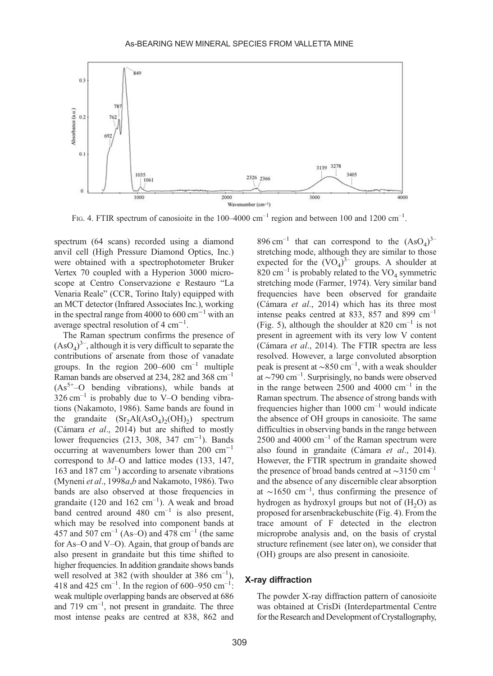<span id="page-4-0"></span>

FIG. 4. FTIR spectrum of canosioite in the  $100-4000$  cm<sup>-1</sup> region and between 100 and 1200 cm<sup>-1</sup>.

spectrum (64 scans) recorded using a diamond anvil cell (High Pressure Diamond Optics, Inc.) were obtained with a spectrophotometer Bruker Vertex 70 coupled with a Hyperion 3000 microscope at Centro Conservazione e Restauro "La Venaria Reale" (CCR, Torino Italy) equipped with an MCT detector (Infrared Associates Inc.), working in the spectral range from 4000 to 600 cm−<sup>1</sup> with an average spectral resolution of 4 cm<sup>-1</sup>.

The Raman spectrum confirms the presence of  $(AsO<sub>4</sub>)<sup>3</sup>$ , although it is very difficult to separate the contributions of arsenate from those of vanadate groups. In the region  $200-600$  cm<sup>-1</sup> multiple Raman bands are observed at 234, 282 and 368 cm–<sup>1</sup>  $(As<sup>5+</sup>-O$  bending vibrations), while bands at  $326 \text{ cm}^{-1}$  is probably due to V–O bending vibrations [\(Nakamoto, 1986\)](#page-12-0). Same bands are found in the grandaite  $(Sr_2Al(AsO_4)_2(OH)_2)$  spectrum [\(Cámara](#page-11-0) et al., 2014) but are shifted to mostly lower frequencies (213, 308, 347 cm−<sup>1</sup> ). Bands occurring at wavenumbers lower than 200 cm−<sup>1</sup> correspond to M–O and lattice modes (133, 147, 163 and 187 cm–<sup>1</sup> ) according to arsenate vibrations [\(Myneni](#page-12-0) et al., 1998a,b and [Nakamoto, 1986\)](#page-12-0). Two bands are also observed at those frequencies in grandaite (120 and 162 cm<sup>-1</sup>). A weak and broad band centred around  $480 \text{ cm}^{-1}$  is also present, which may be resolved into component bands at 457 and 507 cm<sup>-1</sup> (As-O) and 478 cm<sup>-1</sup> (the same for As–O and V–O). Again, that group of bands are also present in grandaite but this time shifted to higher frequencies. In addition grandaite shows bands well resolved at 382 (with shoulder at 386  $cm^{-1}$ ), 418 and 425 cm<sup>-1</sup>. In the region of 600–950 cm<sup>-1</sup>: weak multiple overlapping bands are observed at 686 and  $719 \text{ cm}^{-1}$ , not present in grandaite. The three most intense peaks are centred at 838, 862 and

 $896 \text{ cm}^{-1}$  that can correspond to the  $(AsO<sub>4</sub>)<sup>3</sup>$ stretching mode, although they are similar to those expected for the  $(VO<sub>4</sub>)<sup>3-</sup>$  groups. A shoulder at 820 cm<sup>-1</sup> is probably related to the  $VO<sub>4</sub>$  symmetric stretching mode ([Farmer, 1974\)](#page-11-0). Very similar band frequencies have been observed for grandaite ([Cámara](#page-11-0) et al., 2014) which has its three most intense peaks centred at 833, 857 and 899  $cm^{-1}$ ([Fig. 5](#page-5-0)), although the shoulder at 820 cm<sup>-1</sup> is not present in agreement with its very low V content ([Cámara](#page-11-0) et al., 2014). The FTIR spectra are less resolved. However, a large convoluted absorption peak is present at ∼850 cm–<sup>1</sup> , with a weak shoulder at ∼790 cm–<sup>1</sup> . Surprisingly, no bands were observed in the range between  $2500$  and  $4000$  cm<sup>-1</sup> in the Raman spectrum. The absence of strong bands with frequencies higher than  $1000 \text{ cm}^{-1}$  would indicate the absence of OH groups in canosioite. The same difficulties in observing bands in the range between  $2500$  and  $4000 \text{ cm}^{-1}$  of the Raman spectrum were also found in grandaite [\(Cámara](#page-11-0) et al., 2014). However, the FTIR spectrum in grandaite showed the presence of broad bands centred at  $\sim$ 3150 cm<sup>-1</sup> and the absence of any discernible clear absorption at ∼1650 cm–<sup>1</sup> , thus confirming the presence of hydrogen as hydroxyl groups but not of  $(H_2O)$  as proposed for arsenbrackebuschite (Fig. 4). From the trace amount of F detected in the electron microprobe analysis and, on the basis of crystal structure refinement (see later on), we consider that (OH) groups are also present in canosioite.

#### X-ray diffraction

The powder X-ray diffraction pattern of canosioite was obtained at CrisDi (Interdepartmental Centre for the Research and Development of Crystallography,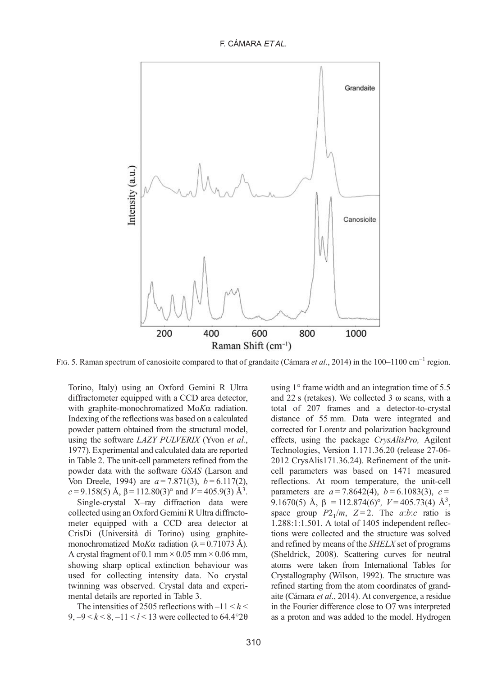F. CÁMARA ET AL.

<span id="page-5-0"></span>

FIG. 5. Raman spectrum of canosioite compared to that of grandaite [\(Cámara](#page-11-0) et al., 2014) in the 100–1100 cm<sup>-1</sup> region.

Torino, Italy) using an Oxford Gemini R Ultra diffractometer equipped with a CCD area detector, with graphite-monochromatized MoKα radiation. Indexing of the reflections was based on a calculated powder pattern obtained from the structural model, using the software LAZY PULVERIX [\(Yvon](#page-12-0) et al., [1977](#page-12-0)). Experimental and calculated data are reported in [Table 2](#page-6-0). The unit-cell parameters refined from the powder data with the software GSAS (Larson and Von Dreele, 1994) are  $a = 7.871(3)$ ,  $b = 6.117(2)$ ,  $c = 9.158(5)$  Å,  $\beta = 112.80(3)$ ° and  $V = 405.9(3)$  Å<sup>3</sup>.

Single-crystal X–ray diffraction data were collected using an Oxford Gemini R Ultra diffractometer equipped with a CCD area detector at CrisDi (Università di Torino) using graphitemonochromatized Mo*Kα* radiation ( $λ = 0.71073$  Å). A crystal fragment of 0.1 mm  $\times$  0.05 mm  $\times$  0.06 mm, showing sharp optical extinction behaviour was used for collecting intensity data. No crystal twinning was observed. Crystal data and experimental details are reported in [Table 3.](#page-6-0)

The intensities of 2505 reflections with  $-11 < h <$ 9,  $-9 < k < 8, -11 < l < 13$  were collected to 64.4°20 using 1° frame width and an integration time of 5.5 and 22 s (retakes). We collected 3 ω scans, with a total of 207 frames and a detector-to-crystal distance of 55 mm. Data were integrated and corrected for Lorentz and polarization background effects, using the package CrysAlisPro, Agilent Technologies, Version 1.171.36.20 (release 27-06- 2012 CrysAlis171.36.24). Refinement of the unitcell parameters was based on 1471 measured reflections. At room temperature, the unit-cell parameters are  $a = 7.8642(4)$ ,  $b = 6.1083(3)$ ,  $c =$ 9.1670(5) Å, β = 112.874(6)°,  $V = 405.73(4)$  Å<sup>3</sup>, space group  $P2_1/m$ ,  $Z=2$ . The *a*:*b*:*c* ratio is 1.288:1:1.501. A total of 1405 independent reflections were collected and the structure was solved and refined by means of the SHELX set of programs ([Sheldrick, 2008\)](#page-12-0). Scattering curves for neutral atoms were taken from International Tables for Crystallography [\(Wilson, 1992\)](#page-12-0). The structure was refined starting from the atom coordinates of grandaite [\(Cámara](#page-11-0) et al., 2014). At convergence, a residue in the Fourier difference close to O7 was interpreted as a proton and was added to the model. Hydrogen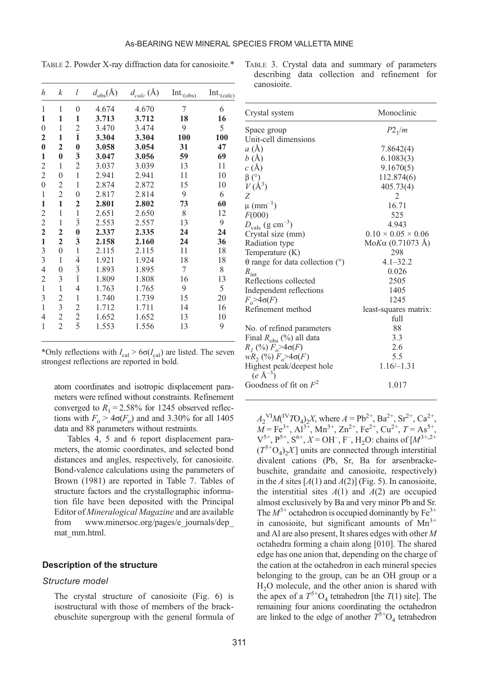<span id="page-6-0"></span>TABLE 2. Powder X-ray diffraction data for canosioite.\*

| h                | k              | l                                   | $d_{\text{obs}}(\text{Å})$ | $d_{calc}(\text{Å})$ |                       |                        |
|------------------|----------------|-------------------------------------|----------------------------|----------------------|-----------------------|------------------------|
|                  |                |                                     |                            |                      | Int. <sub>(obs)</sub> | Int. <sub>(calc)</sub> |
| 1                | 1              | $\theta$                            | 4.674                      | 4.670                | 7                     | 6                      |
| 1                | 1              | 1                                   | 3.713                      | 3.712                | 18                    | 16                     |
| $\mathbf{0}$     | 1              |                                     | 3.470                      | 3.474                | 9                     | 5                      |
| 2                | 1              | $\frac{2}{1}$                       | 3.304                      | 3.304                | 100                   | 100                    |
| $\bf{0}$         | 2              | $\bf{0}$                            | 3.058                      | 3.054                | 31                    | 47                     |
| 1                | $\bf{0}$       | $\frac{1}{2}$                       | 3.047                      | 3.056                | 59                    | 69                     |
| 2                | 1              |                                     | 3.037                      | 3.039                | 13                    | 11                     |
| $\overline{2}$   | $\overline{0}$ | $\mathbf{1}$                        | 2.941                      | 2.941                | 11                    | 10                     |
| $\boldsymbol{0}$ | 2              | 1                                   | 2.874                      | 2.872                | 15                    | 10                     |
| 1                | $\overline{c}$ | $\theta$                            | 2.817                      | 2.814                | 9                     | 6                      |
| 1                | $\mathbf{1}$   | 2                                   | 2.801                      | 2.802                | 73                    | 60                     |
| $\mathfrak{2}$   | $\mathbf{1}$   | $\mathbf{1}$                        | 2.651                      | 2.650                | 8                     | 12                     |
| $\overline{2}$   | $\mathbf{1}$   | $\overline{3}$                      | 2.553                      | 2.557                | 13                    | 9                      |
| $\mathbf{2}$     | 2              | $\bf{0}$                            | 2.337                      | 2.335                | 24                    | 24                     |
| $\mathbf{1}$     | 2              | $\bar{3}$                           | 2.158                      | 2.160                | 24                    | 36                     |
| 3                | $\overline{0}$ |                                     | 2.115                      | 2.115                | 11                    | 18                     |
| 3                | 1              | $rac{1}{4}$ $rac{4}{3}$ $rac{1}{1}$ | 1.921                      | 1.924                | 18                    | 18                     |
| 4                | $\mathbf{0}$   |                                     | 1.893                      | 1.895                | 7                     | 8                      |
| 2                | 3              |                                     | 1.809                      | 1.808                | 16                    | 13                     |
| $\mathbf{1}$     | 1              | $\overline{4}$                      | 1.763                      | 1.765                | 9                     | 5                      |
| 3                | $\overline{c}$ | $\mathbf{1}$                        | 1.740                      | 1.739                | 15                    | 20                     |
| 1                | $\overline{3}$ |                                     | 1.712                      | 1.711                | 14                    | 16                     |
| $\overline{4}$   | $\mathfrak{2}$ | $rac{2}{2}$ $\frac{1}{5}$           | 1.652                      | 1.652                | 13                    | 10                     |
| 1                | $\overline{c}$ |                                     | 1.553                      | 1.556                | 13                    | 9                      |
|                  |                |                                     |                            |                      |                       |                        |

\*Only reflections with  $I_{\text{cal}} > 6\sigma(I_{\text{cal}})$  are listed. The seven strongest reflections are reported in bold.

atom coordinates and isotropic displacement parameters were refined without constraints. Refinement converged to  $R_1 = 2.58\%$  for 1245 observed reflections with  $F_0 > 4\sigma(F_0)$  and and 3.30% for all 1405 data and 88 parameters without restraints.

[Tables 4, 5](#page-7-0) and [6](#page-8-0) report displacement parameters, the atomic coordinates, and selected bond distances and angles, respectively, for canosioite. Bond-valence calculations using the parameters of [Brown \(1981\)](#page-11-0) are reported in [Table 7](#page-8-0). Tables of structure factors and the crystallographic information file have been deposited with the Principal Editor of Mineralogical Magazine and are available from www.minersoc.org/pages/e\_journals/dep [mat\\_mm.html.](http://www.minersoc.org/pages/e_journals/dep_mat_mm.html)

#### Description of the structure

#### Structure model

The crystal structure of canosioite ([Fig. 6\)](#page-9-0) is isostructural with those of members of the brackebuschite supergroup with the general formula of

|             |  | TABLE 3. Crystal data and summary of parameters |  |
|-------------|--|-------------------------------------------------|--|
|             |  | describing data collection and refinement for   |  |
| canosioite. |  |                                                 |  |

| Crystal system                                    | Monoclinic                     |
|---------------------------------------------------|--------------------------------|
| Space group                                       | $P2_1/m$                       |
| Unit-cell dimensions                              |                                |
| a(A)                                              | 7.8642(4)                      |
| b(A)                                              | 6.1083(3)                      |
| c(A)                                              | 9.1670(5)                      |
| $\beta$ (°)                                       | 112.874(6)                     |
| $V(\AA^3)$                                        | 405.73(4)                      |
| Ζ                                                 | 2                              |
| $\mu$ (mm <sup>-1</sup> )                         | 16.71                          |
| F(000)                                            | 525                            |
| $D_{\text{calc}}$ (g cm <sup>-3</sup> )           | 4.943                          |
| Crystal size (mm)                                 | $0.10 \times 0.05 \times 0.06$ |
| Radiation type                                    | Mo <i>K</i> α (0.71073 Å)      |
| Temperature $(K)$                                 | 298                            |
| $\theta$ range for data collection ( $\degree$ )  | $4.1 - 32.2$                   |
|                                                   | 0.026                          |
| $R_{\text{int}}$                                  | 2505                           |
| Reflections collected                             |                                |
| Independent reflections                           | 1405                           |
| $F_{\sim} > 4\sigma(F)$                           | 1245                           |
| Refinement method                                 | least-squares matrix:          |
|                                                   | full                           |
| No. of refined parameters                         | 88                             |
| Final $R_{obs}$ (%) all data                      | 3.3                            |
| $R_1$ (%) $F_0 > 4\sigma(F)$                      | 2.6                            |
| $wR_2(%) F_0 > 4\sigma(F)$                        | 5.5                            |
| Highest peak/deepest hole<br>$(e \text{ Å}^{-3})$ | $1.16/-1.31$                   |
| Goodness of fit on $F^2$                          | 1.017                          |

 $A_2$ <sup>VI</sup> $M$ <sup>IV</sup> $T$ O<sub>4</sub>)<sub>2</sub>X, where  $A = Pb^{2+}$ ,  $Ba^{2+}$ ,  $Sr^{2+}$ ,  $Ca^{2+}$ ,  $\overline{M}$  = Fe<sup>3+</sup>, Al<sup>3+</sup>, Mn<sup>3+</sup>, Zn<sup>2+</sup>, Fe<sup>2+</sup>, Cu<sup>2+</sup>, T = As<sup>5+</sup>,  $V^{5+}, P^{5+}, S^{6+}, X = OH^{-}, F^{-}, H_2O$ : chains of  $[M^{3+,2+}]$  $(T^{5+}O_4)_2X$ ] units are connected through interstitial divalent cations (Pb, Sr, Ba for arsenbrackebuschite, grandaite and canosioite, respectively) in the A sites  $[A(1)$  and  $A(2)]$  [\(Fig. 5\)](#page-5-0). In canosioite, the interstitial sites  $A(1)$  and  $A(2)$  are occupied almost exclusively by Ba and very minor Pb and Sr. The  $M^{3+}$  octahedron is occupied dominantly by  $Fe^{3+}$ in canosioite, but significant amounts of  $Mn^{3+}$ and Al are also present, It shares edges with other M octahedra forming a chain along [010]. The shared edge has one anion that, depending on the charge of the cation at the octahedron in each mineral species belonging to the group, can be an OH group or a H2O molecule, and the other anion is shared with the apex of a  $T^{5+}O_4$  tetrahedron [the  $T(1)$  site]. The remaining four anions coordinating the octahedron are linked to the edge of another  $T^{5+}O_4$  tetrahedron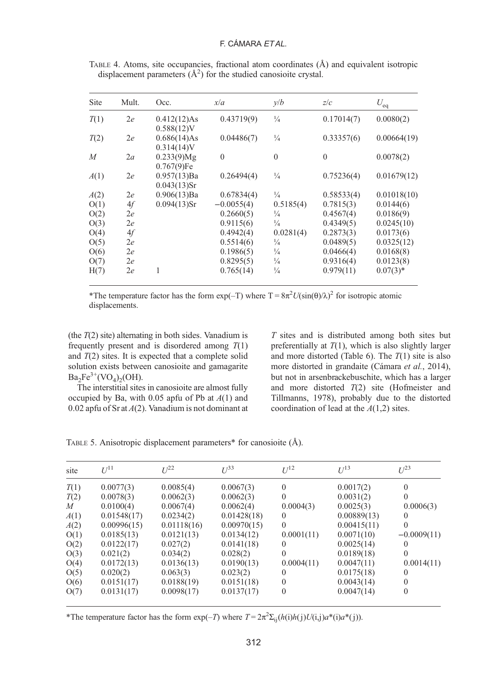# F. CÁMARA ET AL.

| Site           | Mult. | Occ.           | x/a            | y/b           | z/c        | $U_{eq}$    |
|----------------|-------|----------------|----------------|---------------|------------|-------------|
| T(1)           | 2e    | 0.412(12)As    | 0.43719(9)     | $\frac{1}{4}$ | 0.17014(7) | 0.0080(2)   |
|                |       | $0.588(12)$ V  |                |               |            |             |
| T(2)           | 2e    | 0.686(14)As    | 0.04486(7)     | $\frac{1}{4}$ | 0.33357(6) | 0.00664(19) |
|                |       | $0.314(14)$ V  |                |               |            |             |
| $\overline{M}$ | 2a    | $0.233(9)$ Mg  | $\overline{0}$ | $\theta$      | $\theta$   | 0.0078(2)   |
|                |       | 0.767(9)Fe     |                |               |            |             |
| A(1)           | 2e    | 0.957(13)Ba    | 0.26494(4)     | $\frac{1}{4}$ | 0.75236(4) | 0.01679(12) |
|                |       | $0.043(13)$ Sr |                |               |            |             |
| A(2)           | 2e    | 0.906(13)Ba    | 0.67834(4)     | $\frac{1}{4}$ | 0.58533(4) | 0.01018(10) |
| O(1)           | 4f    | $0.094(13)$ Sr | $-0.0055(4)$   | 0.5185(4)     | 0.7815(3)  | 0.0144(6)   |
| O(2)           | 2e    |                | 0.2660(5)      | $\frac{1}{4}$ | 0.4567(4)  | 0.0186(9)   |
| O(3)           | 2e    |                | 0.9115(6)      | $\frac{1}{4}$ | 0.4349(5)  | 0.0245(10)  |
| O(4)           | 4f    |                | 0.4942(4)      | 0.0281(4)     | 0.2873(3)  | 0.0173(6)   |
| O(5)           | 2e    |                | 0.5514(6)      | $\frac{1}{4}$ | 0.0489(5)  | 0.0325(12)  |
| O(6)           | 2e    |                | 0.1986(5)      | $\frac{1}{4}$ | 0.0466(4)  | 0.0168(8)   |
| O(7)           | 2e    |                | 0.8295(5)      | $\frac{1}{4}$ | 0.9316(4)  | 0.0123(8)   |
| H(7)           | 2e    |                | 0.765(14)      | $\frac{1}{4}$ | 0.979(11)  | $0.07(3)$ * |

<span id="page-7-0"></span>TABLE 4. Atoms, site occupancies, fractional atom coordinates (Å) and equivalent isotropic displacement parameters  $(A^2)$  for the studied canosioite crystal.

\*The temperature factor has the form  $exp(-T)$  where  $T = 8\pi^2 U(sin(\theta)/\lambda)^2$  for isotropic atomic displacements.

(the  $T(2)$  site) alternating in both sides. Vanadium is frequently present and is disordered among  $T(1)$ and  $T(2)$  sites. It is expected that a complete solid solution exists between canosioite and gamagarite  $Ba_2Fe^{3+}(\text{VO}_4)_2(\text{OH}).$ 

The interstitial sites in canosioite are almost fully occupied by Ba, with 0.05 apfu of Pb at  $A(1)$  and 0.02 apfu of Sr at  $A(2)$ . Vanadium is not dominant at

T sites and is distributed among both sites but preferentially at  $T(1)$ , which is also slightly larger and more distorted ([Table 6\)](#page-8-0). The  $T(1)$  site is also more distorted in grandaite [\(Cámara](#page-11-0) et al., 2014), but not in arsenbrackebuschite, which has a larger and more distorted  $T(2)$  site [\(Hofmeister and](#page-11-0) [Tillmanns, 1978](#page-11-0)), probably due to the distorted coordination of lead at the  $A(1,2)$  sites.

TABLE 5. Anisotropic displacement parameters\* for canosioite (Å).

| site | $U^{11}$    | $I^{22}$    | $II^{33}$   | $U^{12}$   | $U^{13}$    | I/23          |
|------|-------------|-------------|-------------|------------|-------------|---------------|
| T(1) | 0.0077(3)   | 0.0085(4)   | 0.0067(3)   | $\Omega$   | 0.0017(2)   | $\theta$      |
| T(2) | 0.0078(3)   | 0.0062(3)   | 0.0062(3)   | 0          | 0.0031(2)   | $\Omega$      |
| M    | 0.0100(4)   | 0.0067(4)   | 0.0062(4)   | 0.0004(3)  | 0.0025(3)   | 0.0006(3)     |
| A(1) | 0.01548(17) | 0.0234(2)   | 0.01428(18) | $\left($   | 0.00889(13) | $\Omega$      |
| A(2) | 0.00996(15) | 0.01118(16) | 0.00970(15) | $\Omega$   | 0.00415(11) | $\Omega$      |
| O(1) | 0.0185(13)  | 0.0121(13)  | 0.0134(12)  | 0.0001(11) | 0.0071(10)  | $-0.0009(11)$ |
| O(2) | 0.0122(17)  | 0.027(2)    | 0.0141(18)  | 0          | 0.0025(14)  | $\Omega$      |
| O(3) | 0.021(2)    | 0.034(2)    | 0.028(2)    | $\Omega$   | 0.0189(18)  | $\theta$      |
| O(4) | 0.0172(13)  | 0.0136(13)  | 0.0190(13)  | 0.0004(11) | 0.0047(11)  | 0.0014(11)    |
| O(5) | 0.020(2)    | 0.063(3)    | 0.023(2)    | 0          | 0.0175(18)  | $\Omega$      |
| O(6) | 0.0151(17)  | 0.0188(19)  | 0.0151(18)  | $\Omega$   | 0.0043(14)  | $\Omega$      |
| O(7) | 0.0131(17)  | 0.0098(17)  | 0.0137(17)  | 0          | 0.0047(14)  | $\Omega$      |

\*The temperature factor has the form  $\exp(-T)$  where  $T = 2\pi^2 \Sigma_{ij}(h(i)h(j)U(i,j)a^*(i)a^*(j))$ .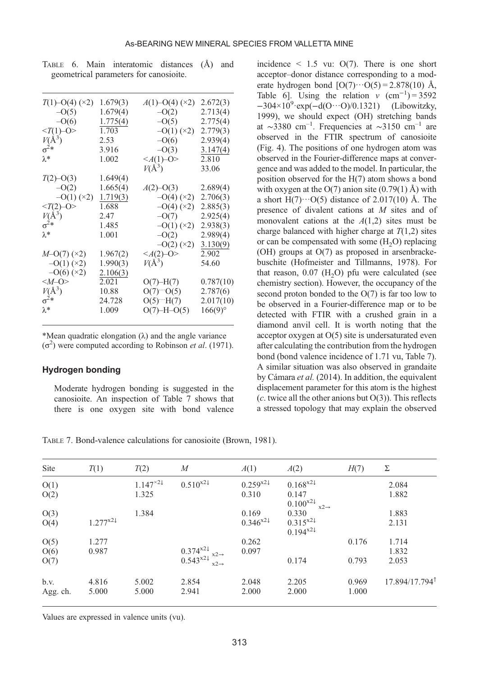| $T(1)$ –O(4) (×2)<br>$-O(5)$<br>$-O(6)$<br>$T(1)-O$<br>$V(\AA^3)$<br>$\sigma^2*$<br>$\lambda^*$    | 1.679(3)<br>1.679(4)<br>1.775(4)<br>1.703<br>2.53<br>3.916<br>1.002   | $A(1)$ –O(4) (×2)<br>$-O(2)$<br>$-O(5)$<br>$-O(1)(x2)$<br>$-O(6)$<br>$-O(3)$<br>$\leq$ A(1)–O><br>$V(\AA^3)$ | 2.672(3)<br>2.713(4)<br>2.775(4)<br>2.779(3)<br>2.939(4)<br>3.147(4)<br>2.810<br>33.06 |
|----------------------------------------------------------------------------------------------------|-----------------------------------------------------------------------|--------------------------------------------------------------------------------------------------------------|----------------------------------------------------------------------------------------|
| $T(2)$ –O(3)<br>$-O(2)$<br>$-O(1)(x2)$<br>$V(\AA^3)\sigma^2*\lambda^*$                             | 1.649(4)<br>1.665(4)<br>1.719(3)<br>1.688<br>2.47<br>1.485<br>1.001   | $A(2)$ –O(3)<br>$-O(4)$ (×2)<br>$-O(4)$ (×2)<br>$-O(7)$<br>$-O(1)(x)$<br>$-O(2)$<br>$-O(2)$ (×2)             | 2.689(4)<br>2.706(3)<br>2.885(3)<br>2.925(4)<br>2.938(3)<br>2.989(4)<br>3.130(9)       |
| $M=O(7)$ (×2)<br>$-O(1)$ (×2)<br>$-O(6)$ (×2)<br>$M=O$<br>$V(\AA^3)$<br>$\sigma^2*$<br>$\lambda^*$ | 1.967(2)<br>1.990(3)<br>2.106(3)<br>2.021<br>10.88<br>24.728<br>1.009 | $\leq$ A(2)-O><br>$V(\AA^3)$<br>$O(7)$ -H $(7)$<br>$O(7)^{10}(5)$<br>$O(5)$ $H(7)$<br>$O(7)$ -H- $O(5)$      | 2.902<br>54.60<br>0.787(10)<br>2.787(6)<br>2.017(10)<br>166(9)°                        |

<span id="page-8-0"></span>TABLE 6. Main interatomic distances (Å) and geometrical parameters for canosioite.

\*Mean quadratic elongation  $(\lambda)$  and the angle variance (σ<sup>2</sup>) were computed according to Robinson et al. (1971).

#### Hydrogen bonding

Moderate hydrogen bonding is suggested in the canosioite. An inspection of Table 7 shows that there is one oxygen site with bond valence

incidence  $\leq$  1.5 vu: O(7). There is one short acceptor–donor distance corresponding to a moderate hydrogen bond  $[O(7)\cdots O(5) = 2.878(10)$  Å, Table 6]. Using the relation v  $(cm^{-1}) = 3592$  $-304 \times 10^{9}$ ·exp( $-d(O \cdots O)/0.1321$ ) ([Libowitzky,](#page-12-0) [1999\)](#page-12-0), we should expect (OH) stretching bands at ∼3380 cm<sup>-1</sup>. Frequencies at ∼3150 cm<sup>-1</sup> are observed in the FTIR spectrum of canosioite ([Fig. 4](#page-4-0)). The positions of one hydrogen atom was observed in the Fourier-difference maps at convergence and was added to the model. In particular, the position observed for the H(7) atom shows a bond with oxygen at the  $O(7)$  anion site  $(0.79(1)$  Å) with a short  $H(7)\cdots O(5)$  distance of 2.017(10) Å. The presence of divalent cations at M sites and of monovalent cations at the  $A(1,2)$  sites must be charge balanced with higher charge at  $T(1,2)$  sites or can be compensated with some  $(H<sub>2</sub>O)$  replacing (OH) groups at O(7) as proposed in arsenbrackebuschite ([Hofmeister and Tillmanns, 1978\)](#page-11-0). For that reason,  $0.07$  (H<sub>2</sub>O) pfu were calculated (see chemistry section). However, the occupancy of the second proton bonded to the  $O(7)$  is far too low to be observed in a Fourier-difference map or to be detected with FTIR with a crushed grain in a diamond anvil cell. It is worth noting that the acceptor oxygen at O(5) site is undersaturated even after calculating the contribution from the hydrogen bond (bond valence incidence of 1.71 vu, Table 7). A similar situation was also observed in grandaite by [Cámara](#page-11-0) et al. (2014). In addition, the equivalent displacement parameter for this atom is the highest (c. twice all the other anions but  $O(3)$ ). This reflects a stressed topology that may explain the observed

TABLE 7. Bond-valence calculations for canosioite (Brown, 1981).

| Site     | T(1)         | T(2)         | M                                                                            | A(1)                   | A(2)                                        | H(7)  | Σ                          |
|----------|--------------|--------------|------------------------------------------------------------------------------|------------------------|---------------------------------------------|-------|----------------------------|
| O(1)     |              | $1.147^{22}$ | $0.510^{x2}$                                                                 | $0.259^{x2}$           | $0.168^{x2}$                                |       | 2.084                      |
| O(2)     |              | 1.325        |                                                                              | 0.310                  | 0.147<br>$0.100^{x2}$ .<br>$x2 \rightarrow$ |       | 1.882                      |
| O(3)     |              | 1.384        |                                                                              | 0.169                  | 0.330                                       |       | 1.883                      |
| O(4)     | $1.277^{x2}$ |              |                                                                              | $0.346^{x2\downarrow}$ | $0.315^{x2}$<br>$0.194^{x2}$                |       | 2.131                      |
| O(5)     | 1.277        |              |                                                                              | 0.262                  |                                             | 0.176 | 1.714                      |
| O(6)     | 0.987        |              |                                                                              | 0.097                  |                                             |       | 1.832                      |
| O(7)     |              |              | $\substack{0.374^{x2\downarrow} \\ 0.543^{x2\downarrow} \\ x2 \rightarrow }$ |                        | 0.174                                       | 0.793 | 2.053                      |
| b.v.     | 4.816        | 5.002        | 2.854                                                                        | 2.048                  | 2.205                                       | 0.969 | 17.894/17.794 <sup>1</sup> |
| Agg. ch. | 5.000        | 5.000        | 2.941                                                                        | 2.000                  | 2.000                                       | 1.000 |                            |

Values are expressed in valence units (vu).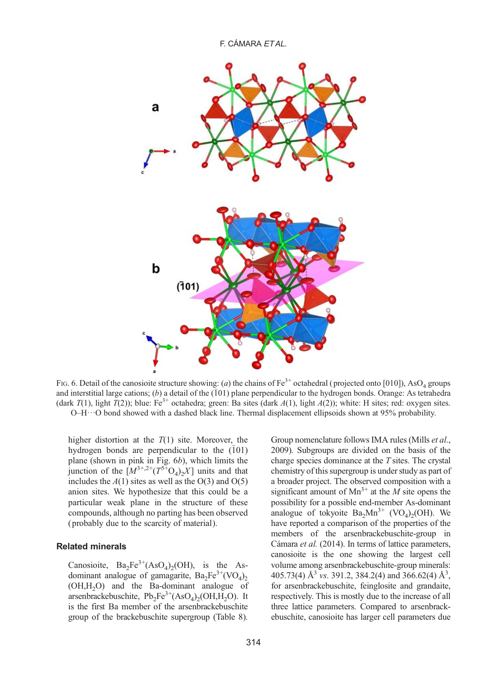<span id="page-9-0"></span>

FIG. 6. Detail of the canosioite structure showing: (a) the chains of Fe<sup>3+</sup> octahedral (projected onto [010]), AsO<sub>4</sub> groups and interstitial large cations; (b) a detail of the  $(101)$  plane perpendicular to the hydrogen bonds. Orange: As tetrahedra (dark  $T(1)$ , light  $T(2)$ ); blue: Fe<sup>3+</sup> octahedra; green: Ba sites (dark  $A(1)$ , light  $A(2)$ ); white: H sites; red: oxygen sites.  $O-H\cdots O$  bond showed with a dashed black line. Thermal displacement ellipsoids shown at 95% probability.

higher distortion at the  $T(1)$  site. Moreover, the hydrogen bonds are perpendicular to the  $(101)$ plane (shown in pink in Fig. 6b), which limits the junction of the  $[M^{3+,2+}(T^{5+}O_4)_2X]$  units and that includes the  $A(1)$  sites as well as the O(3) and O(5) anion sites. We hypothesize that this could be a particular weak plane in the structure of these compounds, although no parting has been observed ( probably due to the scarcity of material).

#### Related minerals

Canosioite,  $Ba_2Fe^{3+}(AsO_4)_2(OH)$ , is the Asdominant analogue of gamagarite,  $Ba_2Fe^{3+}(\text{VO}_4)_{2}$ (OH,H2O) and the Ba-dominant analogue of arsenbrackebuschite,  $Pb_2Fe^{3+}(AsO_4)_2(OH,H_2O)$ . It is the first Ba member of the arsenbrackebuschite group of the brackebuschite supergroup [\(Table 8](#page-10-0)). Group nomenclature follows IMA rules [\(Mills](#page-12-0) et al., [2009](#page-12-0)). Subgroups are divided on the basis of the charge species dominance at the  $T$  sites. The crystal chemistry of this supergroup is under study as part of a broader project. The observed composition with a significant amount of  $Mn^{3+}$  at the *M* site opens the possibility for a possible end-member As-dominant analogue of tokyoite  $Ba<sub>2</sub>Mn<sup>3+</sup>$  (VO<sub>4</sub>)<sub>2</sub>(OH). We have reported a comparison of the properties of the members of the arsenbrackebuschite-group in Cámara et al. (2014). In terms of lattice parameters, canosioite is the one showing the largest cell volume among arsenbrackebuschite-group minerals: 405.73(4)  $\AA^3$  vs. 391.2, 384.2(4) and 366.62(4)  $\AA^3$ , for arsenbrackebuschite, feinglosite and grandaite, respectively. This is mostly due to the increase of all three lattice parameters. Compared to arsenbrackebuschite, canosioite has larger cell parameters due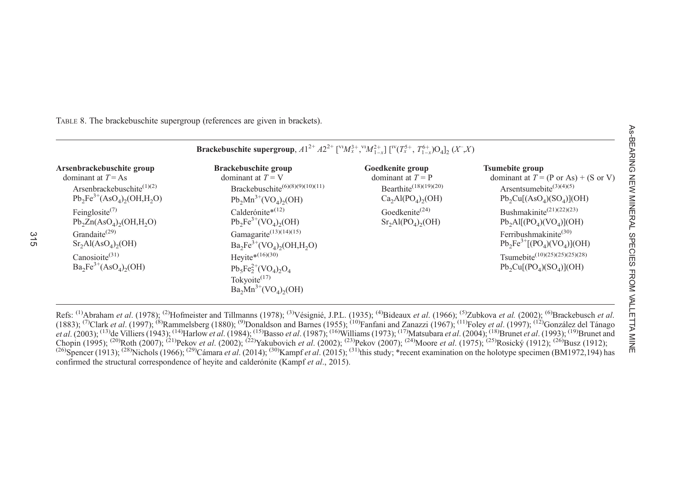<span id="page-10-0"></span>TABLE 8. The brackebuschite supergroup (references are given in brackets).

|                                                                                                                                                       | <b>Brackebuschite supergroup,</b> $A1^{2+} A2^{2+}$ [ $(M_x^3, M_{1-x}^2)$ [ $N(T_x^5, T_{1-x}^6)$ O <sub>4</sub> ] <sub>2</sub> (X <sup>-</sup> ,X)                                                                                                    |                                                                                                   |                                                                                                                                                                                                                    |
|-------------------------------------------------------------------------------------------------------------------------------------------------------|---------------------------------------------------------------------------------------------------------------------------------------------------------------------------------------------------------------------------------------------------------|---------------------------------------------------------------------------------------------------|--------------------------------------------------------------------------------------------------------------------------------------------------------------------------------------------------------------------|
| Arsenbrackebuschite group<br>dominant at $T = As$<br>Arsenbrackebuschite <sup>(1)(2)</sup><br>$Pb_2Fe^{3+}(AsO_4)_2(OH,H_2O)$                         | Brackebuschite group<br>dominant at $T = V$<br>Brackebuschite <sup>(6)(8)(9)(10)(11)</sup><br>$Pb_2Mn^{3+}({\rm VO}_4)_2(OH)$                                                                                                                           | Goedkenite group<br>dominant at $T = P$<br>Bearthite <sup>(18)(19)(20)</sup><br>$Ca2Al(PO4)2(OH)$ | <b>Tsumebite group</b><br>dominant at $T = (P \text{ or } As) + (S \text{ or } V)$<br>Arsentsumebite <sup>(3)(4)(5)</sup><br>$Pb_2Cu[(AsO_4)(SO_4)](OH)$                                                           |
| Feinglosite $(7)$<br>$Pb_2Zn(AsO_4)_2(OH,H_2O)$<br>Grandaite <sup>(29)</sup><br>$Sr2Al(AsO4)2(OH)$<br>Canosioite $(31)$<br>$Ba_2Fe^{3+}(AsO_4)_2(OH)$ | Calderónite* <sup>(12)</sup><br>$Pb_2Fe^{3+}({\rm VO}_4)_2({\rm OH})$<br>Gamagarite <sup>(13)(14)(15)</sup><br>$Ba_2Fe^{3+}(VO_4)_2(OH,H_2O)$<br>Heyite* $(16)(30)$<br>$Pb_5Fe_2^{2+}(VO_4)_2O_4$<br>Tokyoite $(17)$<br>$Ba_2Mn^{3+}({\rm VO}_4)_2(OH)$ | Goedkenite <sup>(24)</sup><br>$\rm Sr_2Al(PO_4)_2(OH)$                                            | Bushmakinite <sup>(21)(22)(23)</sup><br>$Pb2Al[(PO4)(VO4)](OH)$<br>Ferribushmakinite <sup>(30)</sup><br>$Pb_2Fe^{3+}[(PO_4)(VO_4)](OH)$<br>Tsumebite <sup>(10)(25)(25)(25)(28)</sup><br>$Pb_2Cu[(PO_4)(SO_4)](OH)$ |

Refs: <sup>(1)</sup>[Abraham](#page-11-0) et al. (1978); <sup>(2)</sup>[Hofmeister](#page-11-0) and Tillmanns (1978); <sup>(3)</sup>Vésignié, J.P.L. (1935); <sup>(4)</sup>[Bideaux](#page-11-0) et al. (1966); <sup>(5)</sup>[Zubkova](#page-12-0) et al. (2002); <sup>(6)</sup>[Brackebusch](#page-11-0) et al. [\(1883\)](#page-11-0); <sup>(7)</sup>Clark et al. [\(1997\)](#page-11-0); <sup>(8)</sup>[Rammelsberg](#page-12-0) (1880); <sup>(9)</sup>[Donaldson](#page-11-0) and Barnes (1955); <sup>(10)</sup>Fanfani and Zanazzi [\(1967\)](#page-11-0); <sup>(11)</sup>Foley et al. (1997); <sup>(12)</sup>González del Tánago et al. (2003); <sup>(13)</sup>de Villiers (1943); <sup>(14)</sup>[Harlow](#page-11-0) et al. (1984); <sup>(15)</sup>Basso et al. [\(1987\)](#page-11-0); <sup>(16)</sup>[Williams](#page-12-0) (1973); <sup>(17)</sup>[Matsubara](#page-12-0) et al. (2004); <sup>(18)</sup>Brunet et al. [\(1993\)](#page-11-0); <sup>(19)</sup>[Brunet](#page-11-0) and [Chopin](#page-11-0) (1995); <sup>(20)</sup>Roth [\(2007\)](#page-12-0); <sup>(21)</sup>Pekov *et al.* [\(2002\)](#page-12-0); <sup>(22)</sup>[Yakubovich](#page-12-0) *et al.* (2002); <sup>(23)</sup>Pekov (2007); <sup>(24)</sup>Moore *et al.* [\(1975\)](#page-12-0); <sup>(25)</sup>Rosický [\(1912\)](#page-11-0); <sup>(26)</sup>Busz (1912); <sup>(26)</sup>[Spencer](#page-12-0) (1913); <sup>(28)</sup>[Nichols](#page-12-0) (1966); <sup>(29)</sup>[Cámara](#page-11-0) et al. (2014); <sup>(30)</sup>Kampf et al. (2015); <sup>(31)</sup>this study; \*recent examination on the holotype specimen (BM1972,194) has confirmed the structural correspondence of heyite and calderónite ([Kampf](#page-11-0) et al., 2015).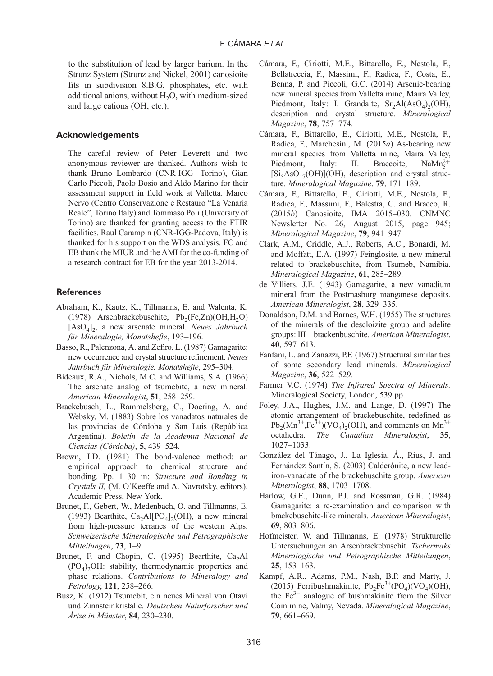<span id="page-11-0"></span>to the substitution of lead by larger barium. In the Strunz System [\(Strunz and Nickel, 2001](#page-12-0)) canosioite fits in subdivision 8.B.G, phosphates, etc. with additional anions, without H<sub>2</sub>O, with medium-sized and large cations (OH, etc.).

#### Acknowledgements

The careful review of Peter Leverett and two anonymous reviewer are thanked. Authors wish to thank Bruno Lombardo (CNR-IGG- Torino), Gian Carlo Piccoli, Paolo Bosio and Aldo Marino for their assessment support in field work at Valletta. Marco Nervo (Centro Conservazione e Restauro "La Venaria Reale", Torino Italy) and Tommaso Poli (University of Torino) are thanked for granting access to the FTIR facilities. Raul Carampin (CNR-IGG-Padova, Italy) is thanked for his support on the WDS analysis. FC and EB thank the MIUR and the AMI for the co-funding of a research contract for EB for the year 2013-2014.

#### **References**

- Abraham, K., Kautz, K., Tillmanns, E. and Walenta, K. (1978) Arsenbrackebuschite,  $Pb_2(Fe,Zn)(OH,H_2O)$  $[AsO<sub>4</sub>]$ <sub>2</sub>, a new arsenate mineral. Neues Jahrbuch für Mineralogie, Monatshefte, 193–196.
- Basso, R., Palenzona, A. and Zefiro, L. (1987) Gamagarite: new occurrence and crystal structure refinement. Neues Jahrbuch für Mineralogie, Monatshefte, 295–304.
- Bideaux, R.A., Nichols, M.C. and Williams, S.A. (1966) The arsenate analog of tsumebite, a new mineral. American Mineralogist, 51, 258–259.
- Brackebusch, L., Rammelsberg, C., Doering, A. and Websky, M. (1883) Sobre los vanadatos naturales de las provincias de Córdoba y San Luis (República Argentina). Boletín de la Academia Nacional de Ciencias (Córdoba), 5, 439–524.
- Brown, I.D. (1981) The bond-valence method: an empirical approach to chemical structure and bonding. Pp. 1–30 in: Structure and Bonding in Crystals II, (M. O'Keeffe and A. Navrotsky, editors). Academic Press, New York.
- Brunet, F., Gebert, W., Medenbach, O. and Tillmanns, E. (1993) Bearthite,  $Ca<sub>2</sub>AI[PO<sub>4</sub>]<sub>2</sub>(OH)$ , a new mineral from high-pressure terranes of the western Alps. Schweizerische Mineralogische und Petrographische Mitteilungen, 73, 1–9.
- Brunet, F. and Chopin, C. (1995) Bearthite,  $Ca<sub>2</sub>Al$  $(PO<sub>4</sub>), OH:$  stability, thermodynamic properties and phase relations. Contributions to Mineralogy and Petrology, 121, 258–266.
- Busz, K. (1912) Tsumebit, ein neues Mineral von Otavi und Zinnsteinkristalle. Deutschen Naturforscher und Årtze in Münster, 84, 230–230.
- Cámara, F., Ciriotti, M.E., Bittarello, E., Nestola, F., Bellatreccia, F., Massimi, F., Radica, F., Costa, E., Benna, P. and Piccoli, G.C. (2014) Arsenic-bearing new mineral species from Valletta mine, Maira Valley, Piedmont, Italy: I. Grandaite,  $Sr_2Al(AsO<sub>4</sub>)<sub>2</sub>(OH)$ , description and crystal structure. Mineralogical Magazine, 78, 757–774.
- Cámara, F., Bittarello, E., Ciriotti, M.E., Nestola, F., Radica, F., Marchesini, M. (2015a) As-bearing new mineral species from Valletta mine, Maira Valley, Piedmont, Italy: II. Braccoite, NaM $n_{\epsilon}^{2+}$  $[Si<sub>5</sub>AsO<sub>17</sub>(OH)](OH)$ , description and crystal structure. Mineralogical Magazine, 79, 171–189.
- Cámara, F., Bittarello, E., Ciriotti, M.E., Nestola, F., Radica, F., Massimi, F., Balestra, C. and Bracco, R. (2015b) Canosioite, IMA 2015–030. CNMNC Newsletter No. 26, August 2015, page 945; Mineralogical Magazine, 79, 941–947.
- Clark, A.M., Criddle, A.J., Roberts, A.C., Bonardi, M. and Moffatt, E.A. (1997) Feinglosite, a new mineral related to brackebuschite, from Tsumeb, Namibia. Mineralogical Magazine, 61, 285–289.
- de Villiers, J.E. (1943) Gamagarite, a new vanadium mineral from the Postmasburg manganese deposits. American Mineralogist, 28, 329–335.
- Donaldson, D.M. and Barnes, W.H. (1955) The structures of the minerals of the descloizite group and adelite groups: III – brackenbuschite. American Mineralogist, 40, 597–613.
- Fanfani, L. and Zanazzi, P.F. (1967) Structural similarities of some secondary lead minerals. Mineralogical Magazine, 36, 522–529.
- Farmer V.C. (1974) The Infrared Spectra of Minerals. Mineralogical Society, London, 539 pp.
- Foley, J.A., Hughes, J.M. and Lange, D. (1997) The atomic arrangement of brackebuschite, redefined as  $Pb_2(Mn^{3+},Fe^{3+})(VO_4)_2(OH)$ , and comments on  $Mn^{3+}$ <br>octahedra. The Canadian Mineralogist. 35. The Canadian Mineralogist, 1027–1033.
- González del Tánago, J., La Iglesia, Á., Rius, J. and Fernández Santín, S. (2003) Calderónite, a new leadiron-vanadate of the brackebuschite group. American Mineralogist, 88, 1703–1708.
- Harlow, G.E., Dunn, P.J. and Rossman, G.R. (1984) Gamagarite: a re-examination and comparison with brackebuschite-like minerals. American Mineralogist, 69, 803–806.
- Hofmeister, W. and Tillmanns, E. (1978) Strukturelle Untersuchungen an Arsenbrackebuschit. Tschermaks Mineralogische und Petrographische Mitteilungen, 25, 153–163.
- Kampf, A.R., Adams, P.M., Nash, B.P. and Marty, J. (2015) Ferribushmakinite,  $Pb_2Fe^{3+}(PO_4)(VO_4)(OH)$ , the  $Fe<sup>3+</sup>$  analogue of bushmakinite from the Silver Coin mine, Valmy, Nevada. Mineralogical Magazine, 79, 661–669.